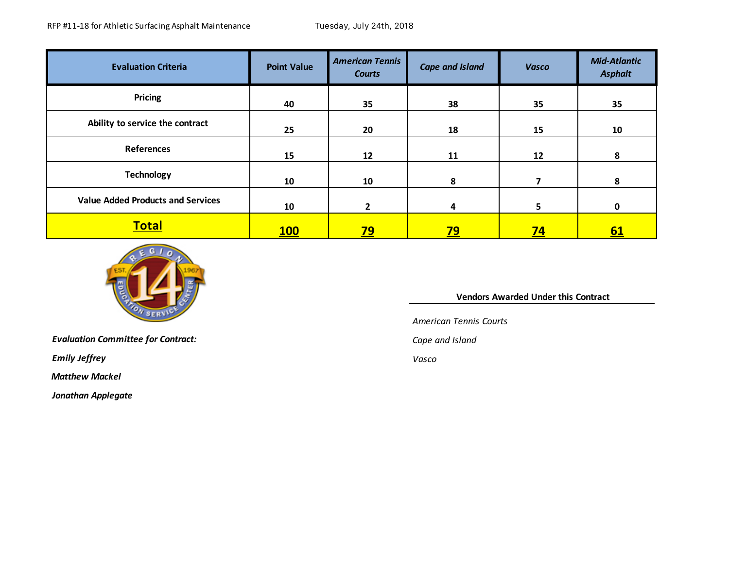| <b>Evaluation Criteria</b>               | <b>Point Value</b> | <b>American Tennis</b><br><b>Courts</b> | <b>Cape and Island</b> | <b>Vasco</b> | <b>Mid-Atlantic</b><br><b>Asphalt</b> |
|------------------------------------------|--------------------|-----------------------------------------|------------------------|--------------|---------------------------------------|
| Pricing                                  | 40                 | 35                                      | 38                     | 35           | 35                                    |
| Ability to service the contract          | 25                 | 20                                      | 18                     | 15           | 10                                    |
| <b>References</b>                        | 15                 | 12                                      | 11                     | 12           | 8                                     |
| <b>Technology</b>                        | 10                 | 10                                      | 8                      |              | 8                                     |
| <b>Value Added Products and Services</b> | 10                 | $\mathbf{z}$                            | 4                      | 5.           | $\mathbf{0}$                          |
| <b>Total</b>                             | 100                | <u>79</u>                               | <u>79</u>              | <u>74</u>    | <u>61</u>                             |



*Evaluation Committee for Contract: Cape and Island*

*Emily Jeffrey Vasco*

 *Matthew Mackel*

*Jonathan Applegate*

## **Vendors Awarded Under this Contract**

*American Tennis Courts*